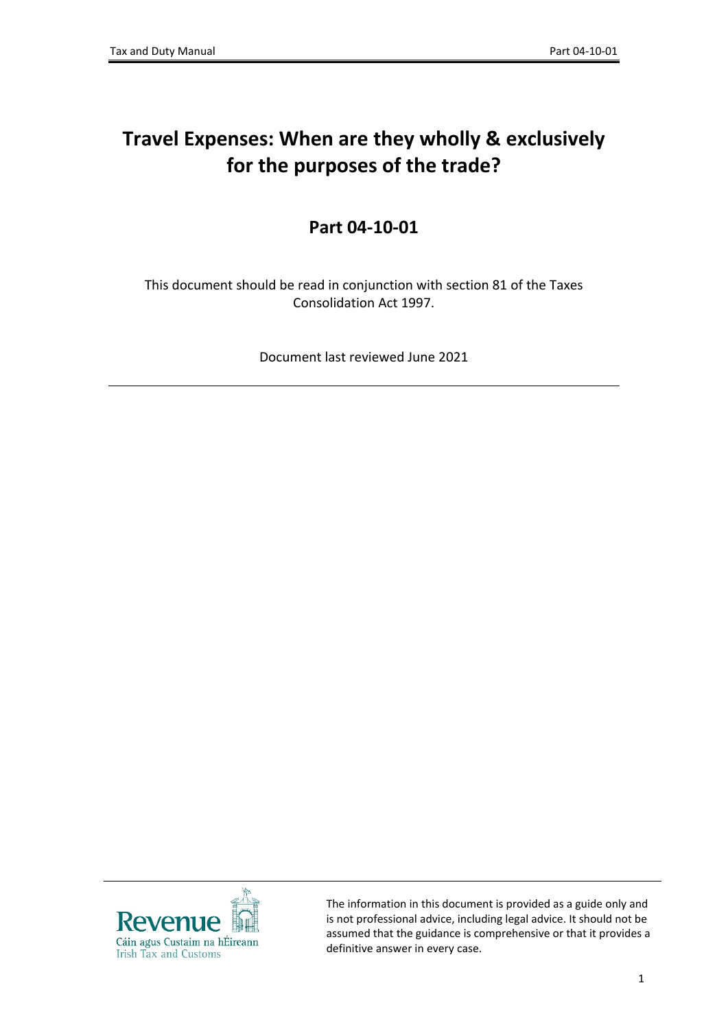# **Travel Expenses: When are they wholly & exclusively for the purposes of the trade?**

## **Part 04-10-01**

This document should be read in conjunction with section 81 of the Taxes Consolidation Act 1997.

Document last reviewed June 2021



The information in this document is provided as a guide only and is not professional advice, including legal advice. It should not be assumed that the guidance is comprehensive or that it provides a definitive answer in every case.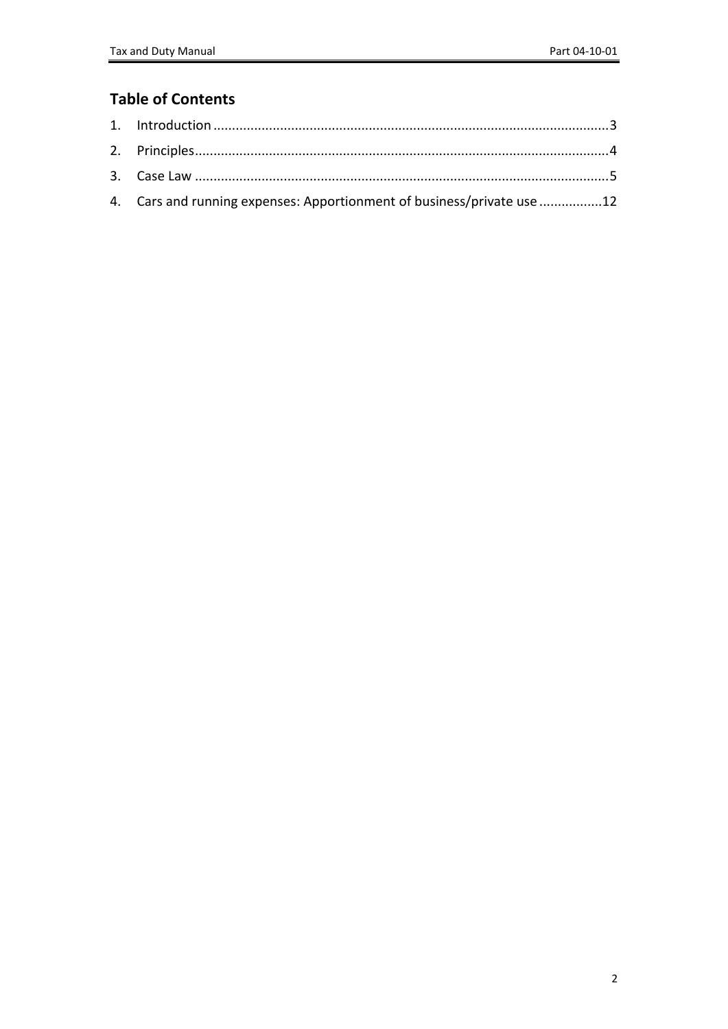### **Table of Contents**

| 4. Cars and running expenses: Apportionment of business/private use 12 |  |
|------------------------------------------------------------------------|--|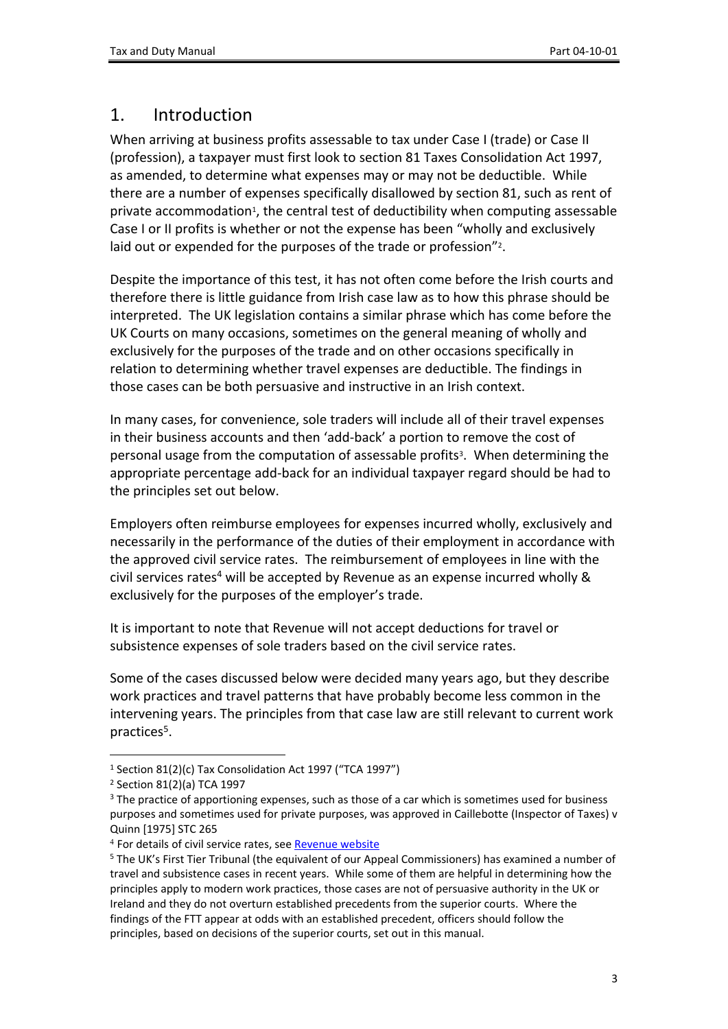### <span id="page-2-0"></span>1. Introduction

When arriving at business profits assessable to tax under Case I (trade) or Case II (profession), a taxpayer must first look to section 81 Taxes Consolidation Act 1997, as amended, to determine what expenses may or may not be deductible. While there are a number of expenses specifically disallowed by section 81, such as rent of private accommodation<sup>1</sup>, the central test of deductibility when computing assessable Case I or II profits is whether or not the expense has been "wholly and exclusively laid out or expended for the purposes of the trade or profession"<sup>2</sup>.

Despite the importance of this test, it has not often come before the Irish courts and therefore there is little guidance from Irish case law as to how this phrase should be interpreted. The UK legislation contains a similar phrase which has come before the UK Courts on many occasions, sometimes on the general meaning of wholly and exclusively for the purposes of the trade and on other occasions specifically in relation to determining whether travel expenses are deductible. The findings in those cases can be both persuasive and instructive in an Irish context.

In many cases, for convenience, sole traders will include all of their travel expenses in their business accounts and then 'add-back' a portion to remove the cost of personal usage from the computation of assessable profits<sup>3</sup>. When determining the appropriate percentage add-back for an individual taxpayer regard should be had to the principles set out below.

Employers often reimburse employees for expenses incurred wholly, exclusively and necessarily in the performance of the duties of their employment in accordance with the approved civil service rates. The reimbursement of employees in line with the civil services rates<sup>4</sup> will be accepted by Revenue as an expense incurred wholly & exclusively for the purposes of the employer's trade.

It is important to note that Revenue will not accept deductions for travel or subsistence expenses of sole traders based on the civil service rates.

Some of the cases discussed below were decided many years ago, but they describe work practices and travel patterns that have probably become less common in the intervening years. The principles from that case law are still relevant to current work practices<sup>5</sup>.

<sup>1</sup> Section 81(2)(c) Tax Consolidation Act 1997 ("TCA 1997")

<sup>2</sup> Section 81(2)(a) TCA 1997

<sup>&</sup>lt;sup>3</sup> The practice of apportioning expenses, such as those of a car which is sometimes used for business purposes and sometimes used for private purposes, was approved in Caillebotte (Inspector of Taxes) v Quinn [1975] STC 265

<sup>&</sup>lt;sup>4</sup> For details of civil service rates, see [Revenue](https://www.revenue.ie/en/employing-people/employee-expenses/travel-and-subsistence/civil-service-rates.aspx) [website](https://www.revenue.ie/en/employing-people/employee-expenses/travel-and-subsistence/civil-service-rates.aspx)

<sup>5</sup> The UK's First Tier Tribunal (the equivalent of our Appeal Commissioners) has examined a number of travel and subsistence cases in recent years. While some of them are helpful in determining how the principles apply to modern work practices, those cases are not of persuasive authority in the UK or Ireland and they do not overturn established precedents from the superior courts. Where the findings of the FTT appear at odds with an established precedent, officers should follow the principles, based on decisions of the superior courts, set out in this manual.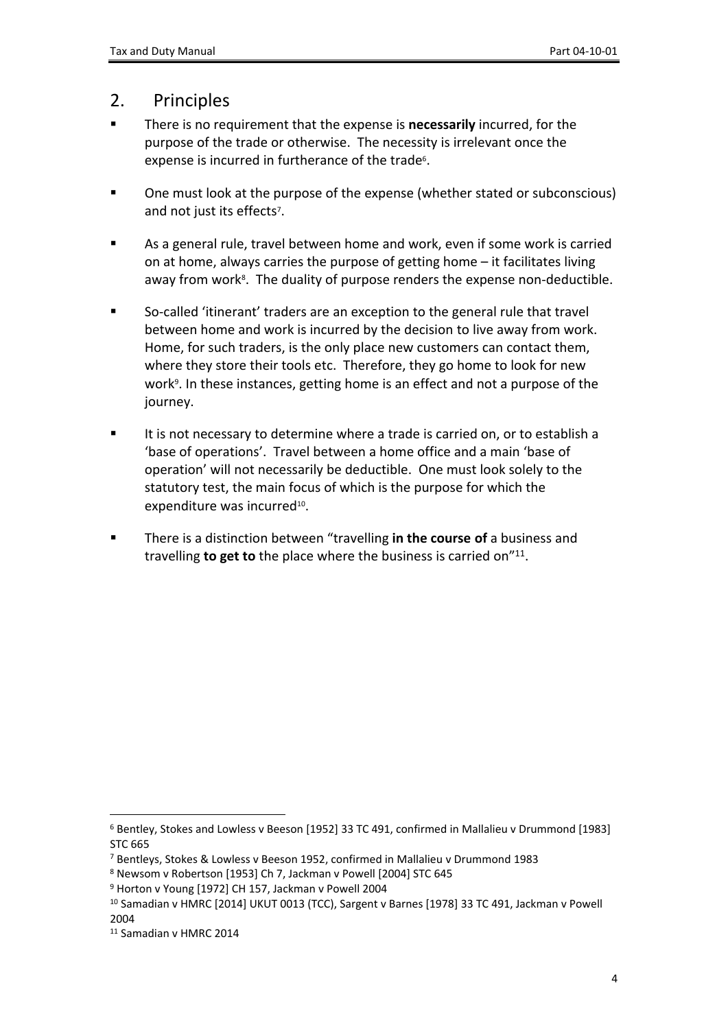### <span id="page-3-0"></span>2. Principles

- There is no requirement that the expense is **necessarily** incurred, for the purpose of the trade or otherwise. The necessity is irrelevant once the expense is incurred in furtherance of the trade<sup>6</sup>.
- One must look at the purpose of the expense (whether stated or subconscious) and not just its effects<sup>7</sup>.
- As a general rule, travel between home and work, even if some work is carried on at home, always carries the purpose of getting home – it facilitates living away from work<sup>8</sup>. The duality of purpose renders the expense non-deductible.
- So-called 'itinerant' traders are an exception to the general rule that travel between home and work is incurred by the decision to live away from work. Home, for such traders, is the only place new customers can contact them, where they store their tools etc. Therefore, they go home to look for new work<sup>9</sup>. In these instances, getting home is an effect and not a purpose of the journey.
- It is not necessary to determine where a trade is carried on, or to establish a 'base of operations'. Travel between a home office and a main 'base of operation' will not necessarily be deductible. One must look solely to the statutory test, the main focus of which is the purpose for which the expenditure was incurred<sup>10</sup>.
- There is a distinction between "travelling **in the course of** a business and travelling **to get to** the place where the business is carried on"<sup>11</sup> .

<sup>6</sup> Bentley, Stokes and Lowless v Beeson [1952] 33 TC 491, confirmed in Mallalieu v Drummond [1983] STC 665

<sup>7</sup> Bentleys, Stokes & Lowless v Beeson 1952, confirmed in Mallalieu v Drummond 1983

<sup>8</sup> Newsom v Robertson [1953] Ch 7, Jackman v Powell [2004] STC 645

<sup>9</sup> Horton v Young [1972] CH 157, Jackman v Powell 2004

<sup>10</sup> Samadian v HMRC [2014] UKUT 0013 (TCC), Sargent v Barnes [1978] 33 TC 491, Jackman v Powell 2004

<sup>11</sup> Samadian v HMRC 2014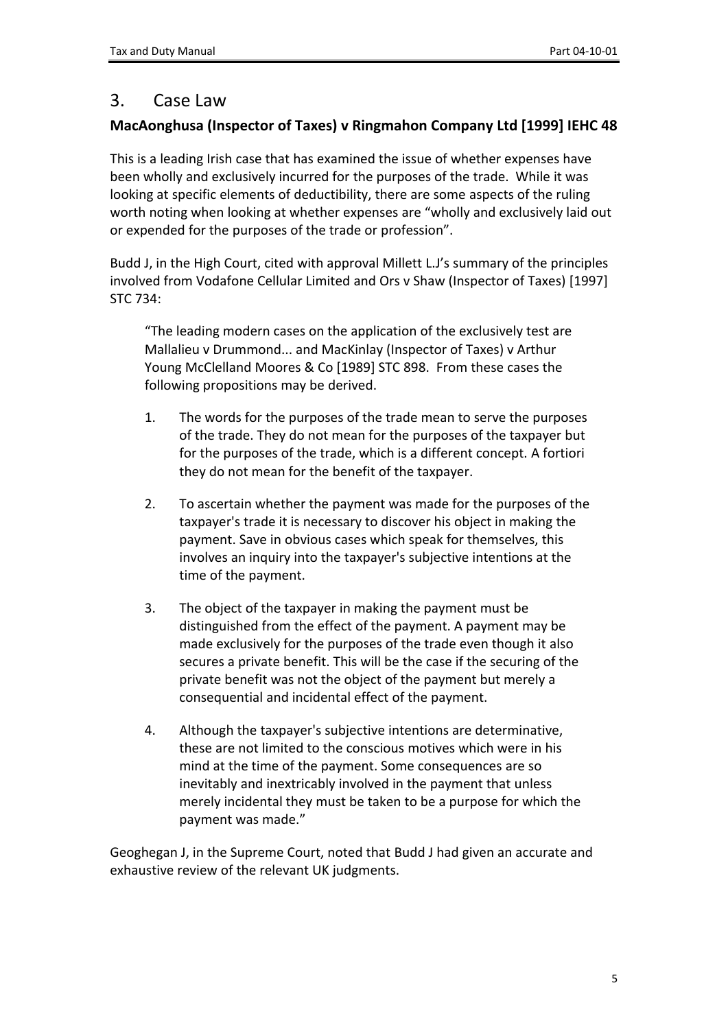# <span id="page-4-0"></span>3. Case Law

### **MacAonghusa (Inspector of Taxes) v Ringmahon Company Ltd [1999] IEHC 48**

This is a leading Irish case that has examined the issue of whether expenses have been wholly and exclusively incurred for the purposes of the trade. While it was looking at specific elements of deductibility, there are some aspects of the ruling worth noting when looking at whether expenses are "wholly and exclusively laid out or expended for the purposes of the trade or profession".

Budd J, in the High Court, cited with approval Millett L.J's summary of the principles involved from Vodafone Cellular Limited and Ors v Shaw (Inspector of Taxes) [1997] STC 734:

"The leading modern cases on the application of the exclusively test are Mallalieu v Drummond... and MacKinlay (Inspector of Taxes) v Arthur Young McClelland Moores & Co [1989] STC 898. From these cases the following propositions may be derived.

- 1. The words for the purposes of the trade mean to serve the purposes of the trade. They do not mean for the purposes of the taxpayer but for the purposes of the trade, which is a different concept. A fortiori they do not mean for the benefit of the taxpayer.
- 2. To ascertain whether the payment was made for the purposes of the taxpayer's trade it is necessary to discover his object in making the payment. Save in obvious cases which speak for themselves, this involves an inquiry into the taxpayer's subjective intentions at the time of the payment.
- 3. The object of the taxpayer in making the payment must be distinguished from the effect of the payment. A payment may be made exclusively for the purposes of the trade even though it also secures a private benefit. This will be the case if the securing of the private benefit was not the object of the payment but merely a consequential and incidental effect of the payment.
- 4. Although the taxpayer's subjective intentions are determinative, these are not limited to the conscious motives which were in his mind at the time of the payment. Some consequences are so inevitably and inextricably involved in the payment that unless merely incidental they must be taken to be a purpose for which the payment was made."

Geoghegan J, in the Supreme Court, noted that Budd J had given an accurate and exhaustive review of the relevant UK judgments.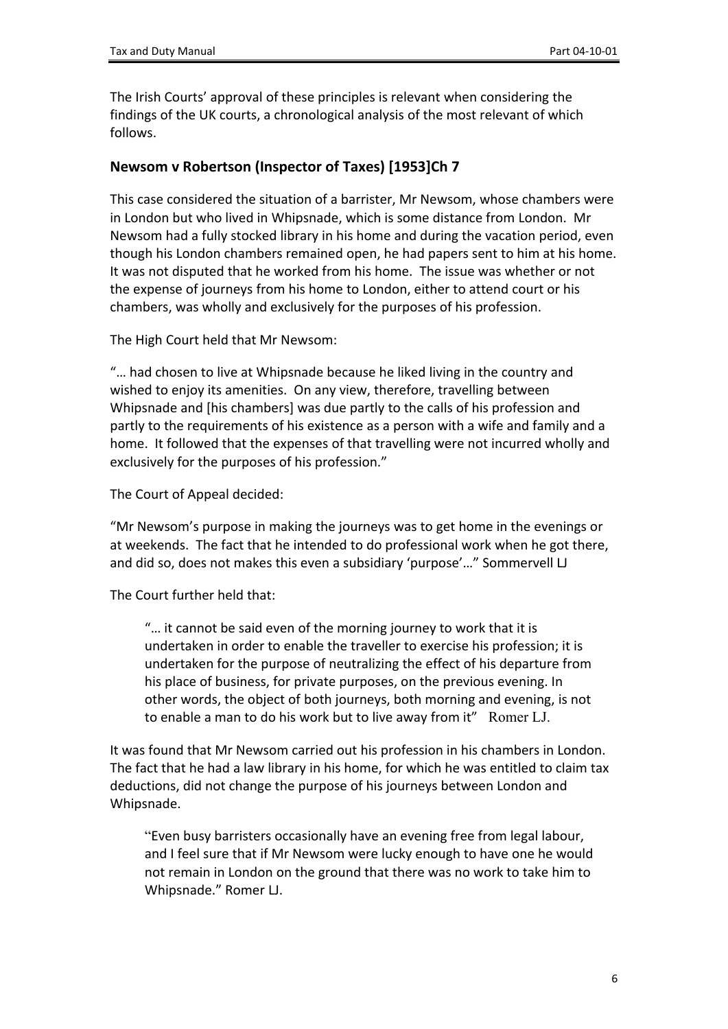The Irish Courts' approval of these principles is relevant when considering the findings of the UK courts, a chronological analysis of the most relevant of which follows.

#### **Newsom v Robertson (Inspector of Taxes) [1953]Ch 7**

This case considered the situation of a barrister, Mr Newsom, whose chambers were in London but who lived in Whipsnade, which is some distance from London. Mr Newsom had a fully stocked library in his home and during the vacation period, even though his London chambers remained open, he had papers sent to him at his home. It was not disputed that he worked from his home. The issue was whether or not the expense of journeys from his home to London, either to attend court or his chambers, was wholly and exclusively for the purposes of his profession.

The High Court held that Mr Newsom:

"… had chosen to live at Whipsnade because he liked living in the country and wished to enjoy its amenities. On any view, therefore, travelling between Whipsnade and [his chambers] was due partly to the calls of his profession and partly to the requirements of his existence as a person with a wife and family and a home. It followed that the expenses of that travelling were not incurred wholly and exclusively for the purposes of his profession."

The Court of Appeal decided:

"Mr Newsom's purpose in making the journeys was to get home in the evenings or at weekends. The fact that he intended to do professional work when he got there, and did so, does not makes this even a subsidiary 'purpose'…" Sommervell LJ

The Court further held that:

"… it cannot be said even of the morning journey to work that it is undertaken in order to enable the traveller to exercise his profession; it is undertaken for the purpose of neutralizing the effect of his departure from his place of business, for private purposes, on the previous evening. In other words, the object of both journeys, both morning and evening, is not to enable a man to do his work but to live away from it" Romer LJ.

It was found that Mr Newsom carried out his profession in his chambers in London. The fact that he had a law library in his home, for which he was entitled to claim tax deductions, did not change the purpose of his journeys between London and Whipsnade.

"Even busy barristers occasionally have an evening free from legal labour, and I feel sure that if Mr Newsom were lucky enough to have one he would not remain in London on the ground that there was no work to take him to Whipsnade." Romer LJ.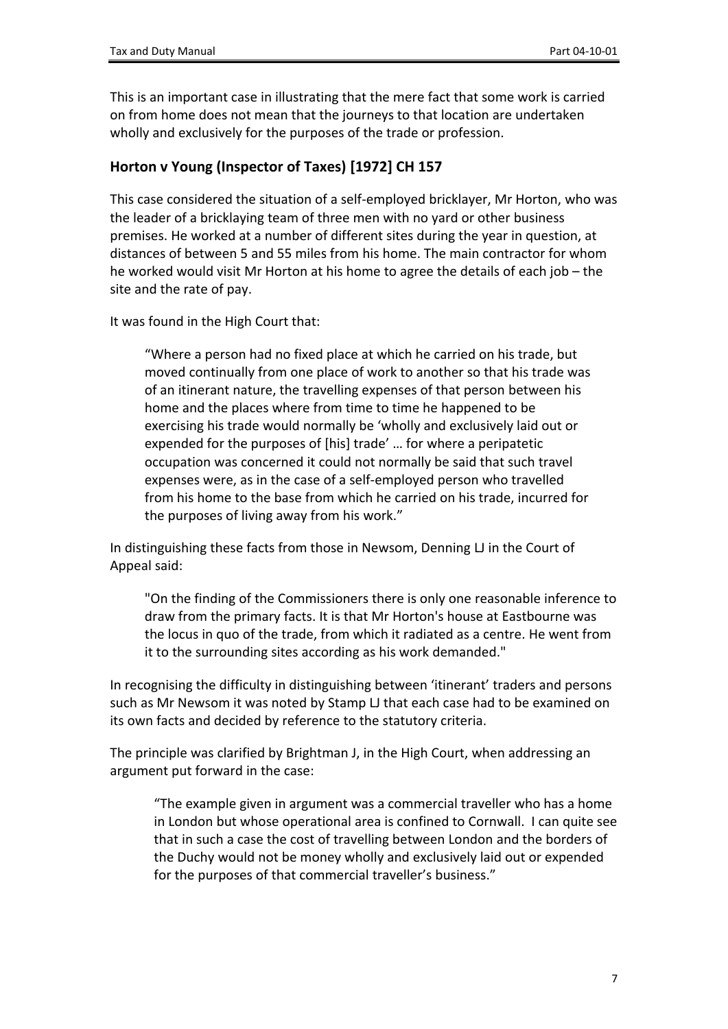This is an important case in illustrating that the mere fact that some work is carried on from home does not mean that the journeys to that location are undertaken wholly and exclusively for the purposes of the trade or profession.

#### **Horton v Young (Inspector of Taxes) [1972] CH 157**

This case considered the situation of a self-employed bricklayer, Mr Horton, who was the leader of a bricklaying team of three men with no yard or other business premises. He worked at a number of different sites during the year in question, at distances of between 5 and 55 miles from his home. The main contractor for whom he worked would visit Mr Horton at his home to agree the details of each job – the site and the rate of pay.

It was found in the High Court that:

"Where a person had no fixed place at which he carried on his trade, but moved continually from one place of work to another so that his trade was of an itinerant nature, the travelling expenses of that person between his home and the places where from time to time he happened to be exercising his trade would normally be 'wholly and exclusively laid out or expended for the purposes of [his] trade' … for where a peripatetic occupation was concerned it could not normally be said that such travel expenses were, as in the case of a self-employed person who travelled from his home to the base from which he carried on his trade, incurred for the purposes of living away from his work."

In distinguishing these facts from those in Newsom, Denning LJ in the Court of Appeal said:

"On the finding of the Commissioners there is only one reasonable inference to draw from the primary facts. It is that Mr Horton's house at Eastbourne was the locus in quo of the trade, from which it radiated as a centre. He went from it to the surrounding sites according as his work demanded."

In recognising the difficulty in distinguishing between 'itinerant' traders and persons such as Mr Newsom it was noted by Stamp LJ that each case had to be examined on its own facts and decided by reference to the statutory criteria.

The principle was clarified by Brightman J, in the High Court, when addressing an argument put forward in the case:

"The example given in argument was a commercial traveller who has a home in London but whose operational area is confined to Cornwall. I can quite see that in such a case the cost of travelling between London and the borders of the Duchy would not be money wholly and exclusively laid out or expended for the purposes of that commercial traveller's business."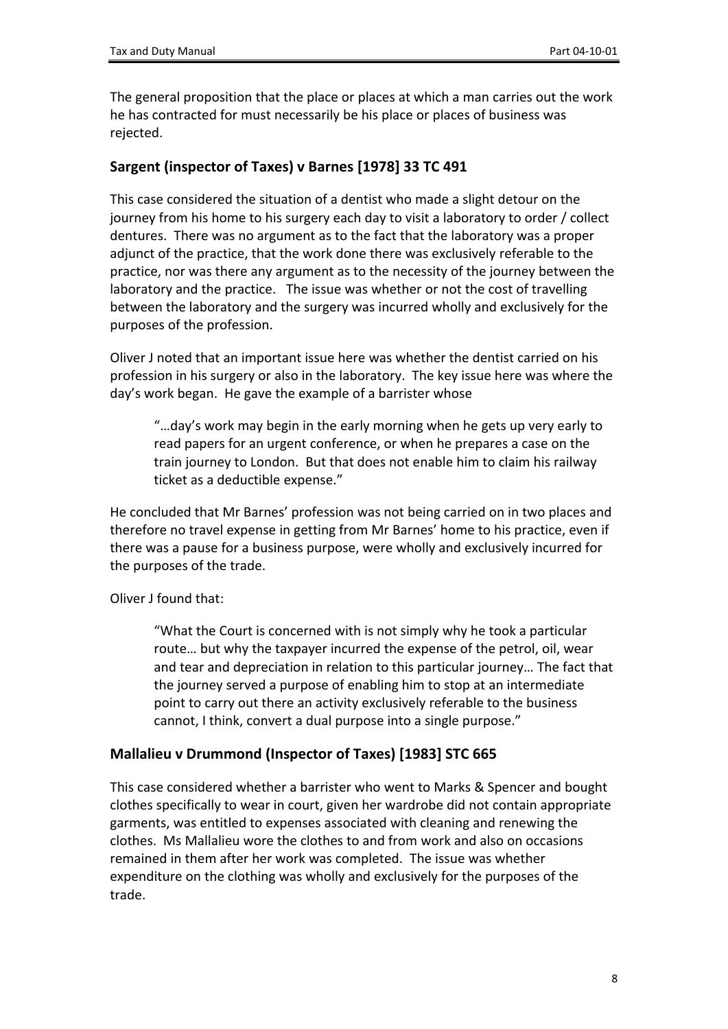The general proposition that the place or places at which a man carries out the work he has contracted for must necessarily be his place or places of business was rejected.

#### **Sargent (inspector of Taxes) v Barnes [1978] 33 TC 491**

This case considered the situation of a dentist who made a slight detour on the journey from his home to his surgery each day to visit a laboratory to order / collect dentures. There was no argument as to the fact that the laboratory was a proper adjunct of the practice, that the work done there was exclusively referable to the practice, nor was there any argument as to the necessity of the journey between the laboratory and the practice. The issue was whether or not the cost of travelling between the laboratory and the surgery was incurred wholly and exclusively for the purposes of the profession.

Oliver J noted that an important issue here was whether the dentist carried on his profession in his surgery or also in the laboratory. The key issue here was where the day's work began. He gave the example of a barrister whose

"…day's work may begin in the early morning when he gets up very early to read papers for an urgent conference, or when he prepares a case on the train journey to London. But that does not enable him to claim his railway ticket as a deductible expense."

He concluded that Mr Barnes' profession was not being carried on in two places and therefore no travel expense in getting from Mr Barnes' home to his practice, even if there was a pause for a business purpose, were wholly and exclusively incurred for the purposes of the trade.

Oliver J found that:

"What the Court is concerned with is not simply why he took a particular route… but why the taxpayer incurred the expense of the petrol, oil, wear and tear and depreciation in relation to this particular journey… The fact that the journey served a purpose of enabling him to stop at an intermediate point to carry out there an activity exclusively referable to the business cannot, I think, convert a dual purpose into a single purpose."

#### **Mallalieu v Drummond (Inspector of Taxes) [1983] STC 665**

This case considered whether a barrister who went to Marks & Spencer and bought clothes specifically to wear in court, given her wardrobe did not contain appropriate garments, was entitled to expenses associated with cleaning and renewing the clothes. Ms Mallalieu wore the clothes to and from work and also on occasions remained in them after her work was completed. The issue was whether expenditure on the clothing was wholly and exclusively for the purposes of the trade.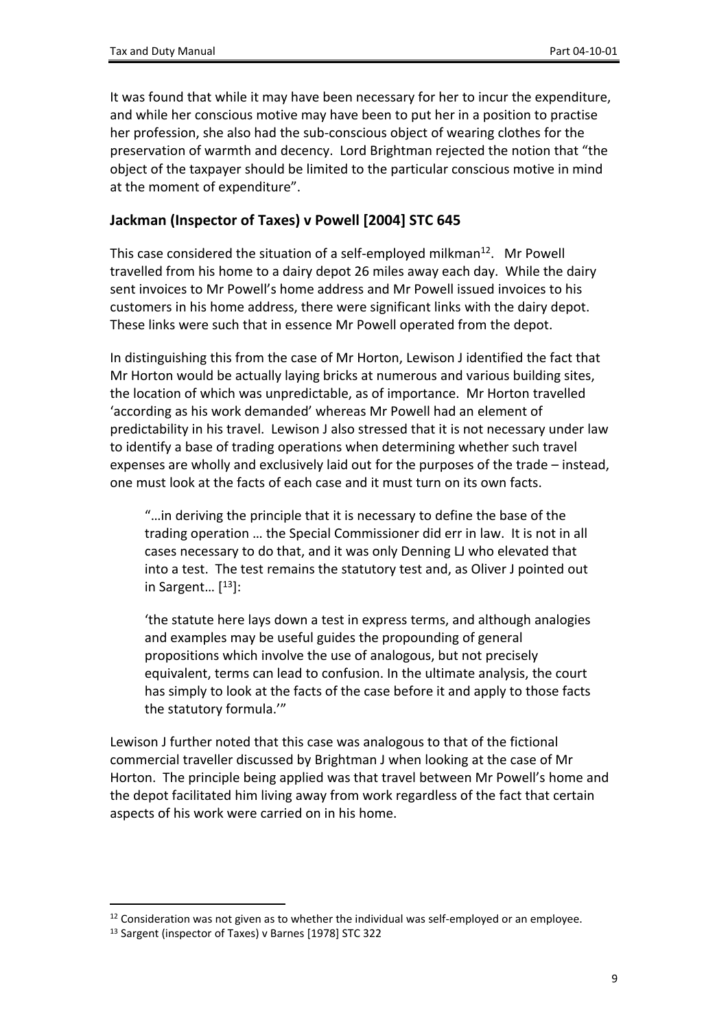It was found that while it may have been necessary for her to incur the expenditure, and while her conscious motive may have been to put her in a position to practise her profession, she also had the sub-conscious object of wearing clothes for the preservation of warmth and decency. Lord Brightman rejected the notion that "the object of the taxpayer should be limited to the particular conscious motive in mind at the moment of expenditure".

#### **Jackman (Inspector of Taxes) v Powell [2004] STC 645**

This case considered the situation of a self-employed milkman<sup>12</sup>. Mr Powell travelled from his home to a dairy depot 26 miles away each day. While the dairy sent invoices to Mr Powell's home address and Mr Powell issued invoices to his customers in his home address, there were significant links with the dairy depot. These links were such that in essence Mr Powell operated from the depot.

In distinguishing this from the case of Mr Horton, Lewison J identified the fact that Mr Horton would be actually laying bricks at numerous and various building sites, the location of which was unpredictable, as of importance. Mr Horton travelled 'according as his work demanded' whereas Mr Powell had an element of predictability in his travel. Lewison J also stressed that it is not necessary under law to identify a base of trading operations when determining whether such travel expenses are wholly and exclusively laid out for the purposes of the trade – instead, one must look at the facts of each case and it must turn on its own facts.

"…in deriving the principle that it is necessary to define the base of the trading operation … the Special Commissioner did err in law. It is not in all cases necessary to do that, and it was only Denning LJ who elevated that into a test. The test remains the statutory test and, as Oliver J pointed out in Sargent… [ <sup>13</sup>]:

'the statute here lays down a test in express terms, and although analogies and examples may be useful guides the propounding of general propositions which involve the use of analogous, but not precisely equivalent, terms can lead to confusion. In the ultimate analysis, the court has simply to look at the facts of the case before it and apply to those facts the statutory formula.'"

Lewison J further noted that this case was analogous to that of the fictional commercial traveller discussed by Brightman J when looking at the case of Mr Horton. The principle being applied was that travel between Mr Powell's home and the depot facilitated him living away from work regardless of the fact that certain aspects of his work were carried on in his home.

 $12$  Consideration was not given as to whether the individual was self-employed or an employee.

<sup>13</sup> Sargent (inspector of Taxes) v Barnes [1978] STC 322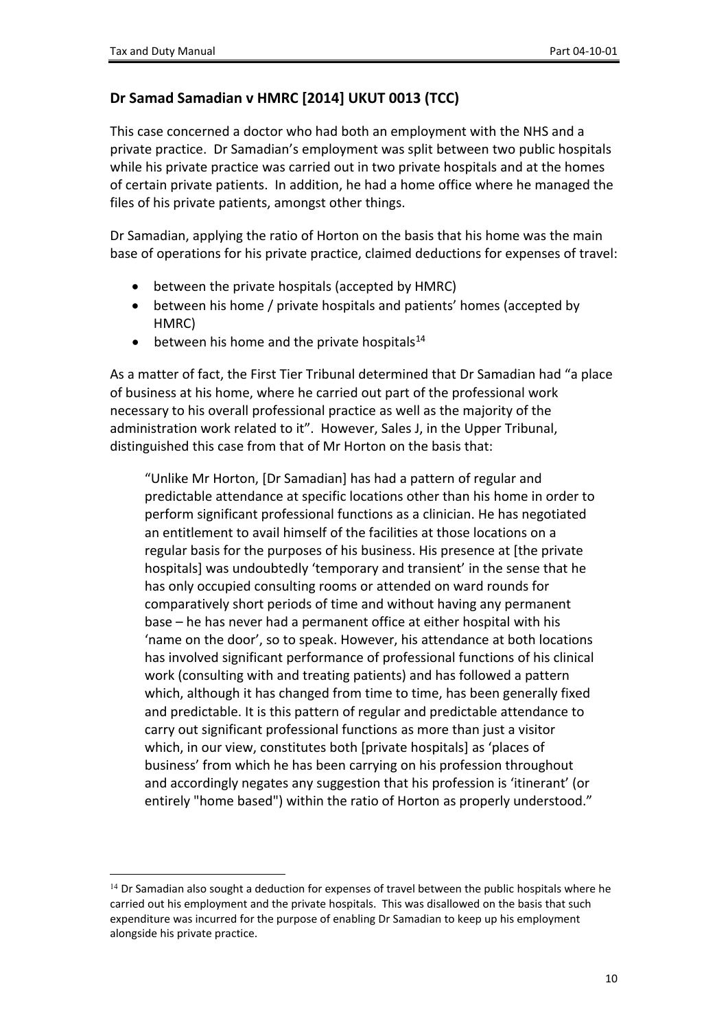#### **Dr Samad Samadian v HMRC [2014] UKUT 0013 (TCC)**

This case concerned a doctor who had both an employment with the NHS and a private practice. Dr Samadian's employment was split between two public hospitals while his private practice was carried out in two private hospitals and at the homes of certain private patients. In addition, he had a home office where he managed the files of his private patients, amongst other things.

Dr Samadian, applying the ratio of Horton on the basis that his home was the main base of operations for his private practice, claimed deductions for expenses of travel:

- between the private hospitals (accepted by HMRC)
- between his home / private hospitals and patients' homes (accepted by HMRC)
- $\bullet$  between his home and the private hospitals<sup>14</sup>

As a matter of fact, the First Tier Tribunal determined that Dr Samadian had "a place of business at his home, where he carried out part of the professional work necessary to his overall professional practice as well as the majority of the administration work related to it". However, Sales J, in the Upper Tribunal, distinguished this case from that of Mr Horton on the basis that:

"Unlike Mr Horton, [Dr Samadian] has had a pattern of regular and predictable attendance at specific locations other than his home in order to perform significant professional functions as a clinician. He has negotiated an entitlement to avail himself of the facilities at those locations on a regular basis for the purposes of his business. His presence at [the private hospitals] was undoubtedly 'temporary and transient' in the sense that he has only occupied consulting rooms or attended on ward rounds for comparatively short periods of time and without having any permanent base – he has never had a permanent office at either hospital with his 'name on the door', so to speak. However, his attendance at both locations has involved significant performance of professional functions of his clinical work (consulting with and treating patients) and has followed a pattern which, although it has changed from time to time, has been generally fixed and predictable. It is this pattern of regular and predictable attendance to carry out significant professional functions as more than just a visitor which, in our view, constitutes both [private hospitals] as 'places of business' from which he has been carrying on his profession throughout and accordingly negates any suggestion that his profession is 'itinerant' (or entirely "home based") within the ratio of Horton as properly understood."

<sup>&</sup>lt;sup>14</sup> Dr Samadian also sought a deduction for expenses of travel between the public hospitals where he carried out his employment and the private hospitals. This was disallowed on the basis that such expenditure was incurred for the purpose of enabling Dr Samadian to keep up his employment alongside his private practice.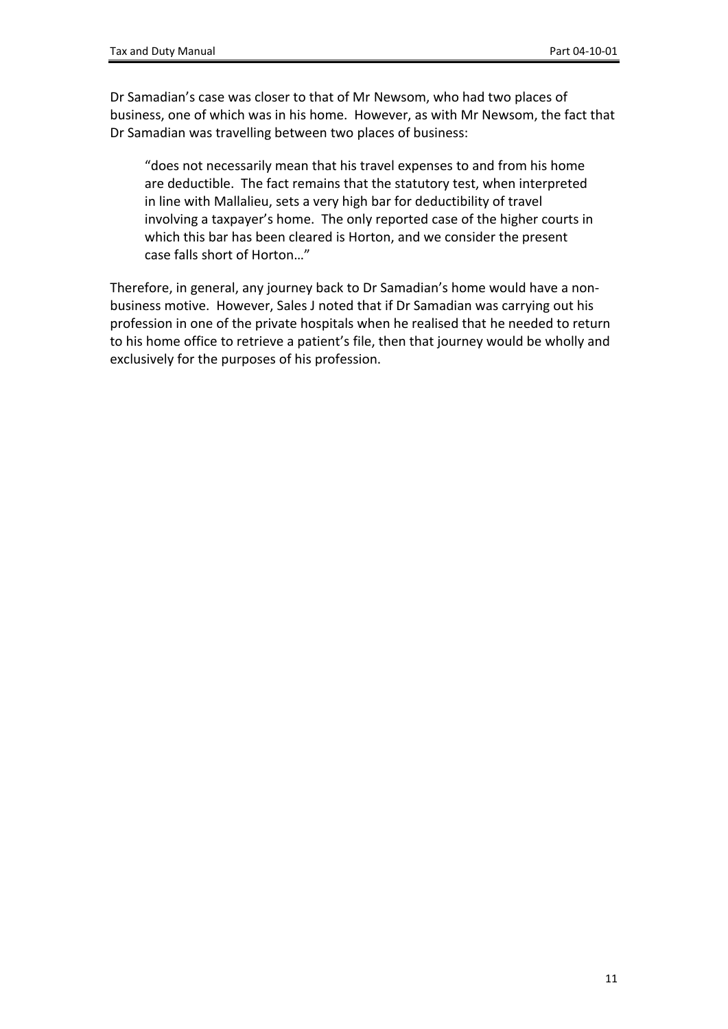Dr Samadian's case was closer to that of Mr Newsom, who had two places of business, one of which was in his home. However, as with Mr Newsom, the fact that Dr Samadian was travelling between two places of business:

"does not necessarily mean that his travel expenses to and from his home are deductible. The fact remains that the statutory test, when interpreted in line with Mallalieu, sets a very high bar for deductibility of travel involving a taxpayer's home. The only reported case of the higher courts in which this bar has been cleared is Horton, and we consider the present case falls short of Horton…"

Therefore, in general, any journey back to Dr Samadian's home would have a nonbusiness motive. However, Sales J noted that if Dr Samadian was carrying out his profession in one of the private hospitals when he realised that he needed to return to his home office to retrieve a patient's file, then that journey would be wholly and exclusively for the purposes of his profession.